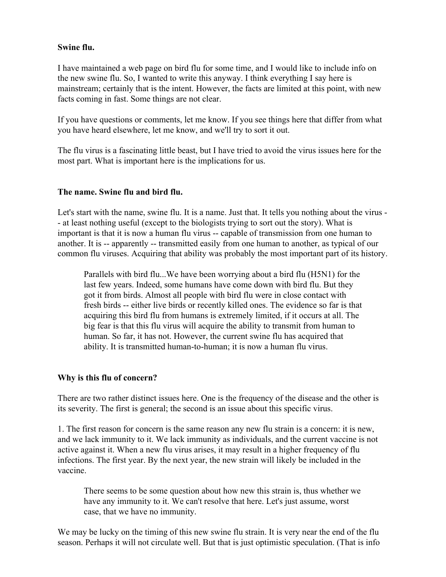## Swine flu.

I have maintained a web page on bird flu for some time, and I would like to include info on the new swine flu. So, I wanted to write this anyway. I think everything I say here is mainstream; certainly that is the intent. However, the facts are limited at this point, with new facts coming in fast. Some things are not clear.

If you have questions or comments, let me know. If you see things here that differ from what you have heard elsewhere, let me know, and we'll try to sort it out.

The flu virus is a fascinating little beast, but I have tried to avoid the virus issues here for the most part. What is important here is the implications for us.

# The name. Swine flu and bird flu.

Let's start with the name, swine flu. It is a name. Just that. It tells you nothing about the virus - - at least nothing useful (except to the biologists trying to sort out the story). What is important is that it is now a human flu virus -- capable of transmission from one human to another. It is -- apparently -- transmitted easily from one human to another, as typical of our common flu viruses. Acquiring that ability was probably the most important part of its history.

Parallels with bird flu...We have been worrying about a bird flu (H5N1) for the last few years. Indeed, some humans have come down with bird flu. But they got it from birds. Almost all people with bird flu were in close contact with fresh birds -- either live birds or recently killed ones. The evidence so far is that acquiring this bird flu from humans is extremely limited, if it occurs at all. The big fear is that this flu virus will acquire the ability to transmit from human to human. So far, it has not. However, the current swine flu has acquired that ability. It is transmitted human-to-human; it is now a human flu virus.

#### Why is this flu of concern?

There are two rather distinct issues here. One is the frequency of the disease and the other is its severity. The first is general; the second is an issue about this specific virus.

1. The first reason for concern is the same reason any new flu strain is a concern: it is new, and we lack immunity to it. We lack immunity as individuals, and the current vaccine is not active against it. When a new flu virus arises, it may result in a higher frequency of flu infections. The first year. By the next year, the new strain will likely be included in the vaccine.

There seems to be some question about how new this strain is, thus whether we have any immunity to it. We can't resolve that here. Let's just assume, worst case, that we have no immunity.

We may be lucky on the timing of this new swine flu strain. It is very near the end of the flu season. Perhaps it will not circulate well. But that is just optimistic speculation. (That is info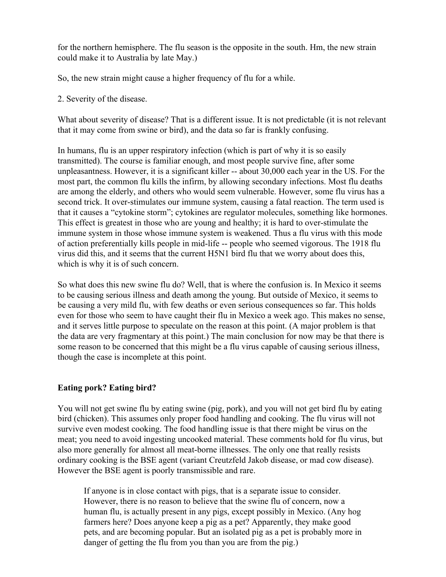for the northern hemisphere. The flu season is the opposite in the south. Hm, the new strain could make it to Australia by late May.)

So, the new strain might cause a higher frequency of flu for a while.

2. Severity of the disease.

What about severity of disease? That is a different issue. It is not predictable (it is not relevant that it may come from swine or bird), and the data so far is frankly confusing.

In humans, flu is an upper respiratory infection (which is part of why it is so easily transmitted). The course is familiar enough, and most people survive fine, after some unpleasantness. However, it is a significant killer -- about 30,000 each year in the US. For the most part, the common flu kills the infirm, by allowing secondary infections. Most flu deaths are among the elderly, and others who would seem vulnerable. However, some flu virus has a second trick. It over-stimulates our immune system, causing a fatal reaction. The term used is that it causes a "cytokine storm"; cytokines are regulator molecules, something like hormones. This effect is greatest in those who are young and healthy; it is hard to over-stimulate the immune system in those whose immune system is weakened. Thus a flu virus with this mode of action preferentially kills people in mid-life -- people who seemed vigorous. The 1918 flu virus did this, and it seems that the current H5N1 bird flu that we worry about does this, which is why it is of such concern.

So what does this new swine flu do? Well, that is where the confusion is. In Mexico it seems to be causing serious illness and death among the young. But outside of Mexico, it seems to be causing a very mild flu, with few deaths or even serious consequences so far. This holds even for those who seem to have caught their flu in Mexico a week ago. This makes no sense, and it serves little purpose to speculate on the reason at this point. (A major problem is that the data are very fragmentary at this point.) The main conclusion for now may be that there is some reason to be concerned that this might be a flu virus capable of causing serious illness, though the case is incomplete at this point.

# Eating pork? Eating bird?

You will not get swine flu by eating swine (pig, pork), and you will not get bird flu by eating bird (chicken). This assumes only proper food handling and cooking. The flu virus will not survive even modest cooking. The food handling issue is that there might be virus on the meat; you need to avoid ingesting uncooked material. These comments hold for flu virus, but also more generally for almost all meat-borne illnesses. The only one that really resists ordinary cooking is the BSE agent (variant Creutzfeld Jakob disease, or mad cow disease). However the BSE agent is poorly transmissible and rare.

If anyone is in close contact with pigs, that is a separate issue to consider. However, there is no reason to believe that the swine flu of concern, now a human flu, is actually present in any pigs, except possibly in Mexico. (Any hog farmers here? Does anyone keep a pig as a pet? Apparently, they make good pets, and are becoming popular. But an isolated pig as a pet is probably more in danger of getting the flu from you than you are from the pig.)